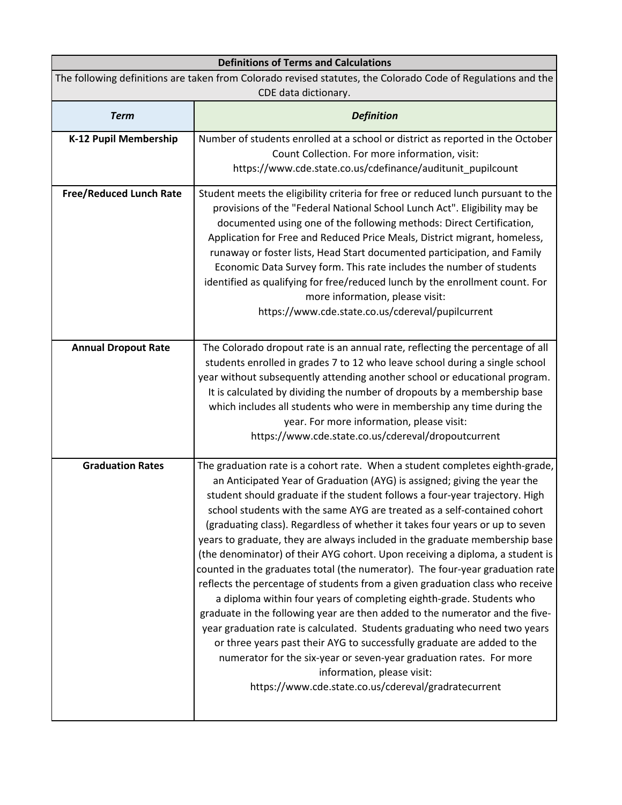| <b>Definitions of Terms and Calculations</b>                                                                                         |                                                                                                                                                                                                                                                                                                                                                                                                                                                                                                                                                                                                                                                                                                                                                                                                                                                                                                                                                                                                                                                                                                                                                                                                                     |  |
|--------------------------------------------------------------------------------------------------------------------------------------|---------------------------------------------------------------------------------------------------------------------------------------------------------------------------------------------------------------------------------------------------------------------------------------------------------------------------------------------------------------------------------------------------------------------------------------------------------------------------------------------------------------------------------------------------------------------------------------------------------------------------------------------------------------------------------------------------------------------------------------------------------------------------------------------------------------------------------------------------------------------------------------------------------------------------------------------------------------------------------------------------------------------------------------------------------------------------------------------------------------------------------------------------------------------------------------------------------------------|--|
| The following definitions are taken from Colorado revised statutes, the Colorado Code of Regulations and the<br>CDE data dictionary. |                                                                                                                                                                                                                                                                                                                                                                                                                                                                                                                                                                                                                                                                                                                                                                                                                                                                                                                                                                                                                                                                                                                                                                                                                     |  |
| <b>Term</b>                                                                                                                          | <b>Definition</b>                                                                                                                                                                                                                                                                                                                                                                                                                                                                                                                                                                                                                                                                                                                                                                                                                                                                                                                                                                                                                                                                                                                                                                                                   |  |
| K-12 Pupil Membership                                                                                                                | Number of students enrolled at a school or district as reported in the October<br>Count Collection. For more information, visit:<br>https://www.cde.state.co.us/cdefinance/auditunit_pupilcount                                                                                                                                                                                                                                                                                                                                                                                                                                                                                                                                                                                                                                                                                                                                                                                                                                                                                                                                                                                                                     |  |
| <b>Free/Reduced Lunch Rate</b>                                                                                                       | Student meets the eligibility criteria for free or reduced lunch pursuant to the<br>provisions of the "Federal National School Lunch Act". Eligibility may be<br>documented using one of the following methods: Direct Certification,<br>Application for Free and Reduced Price Meals, District migrant, homeless,<br>runaway or foster lists, Head Start documented participation, and Family<br>Economic Data Survey form. This rate includes the number of students<br>identified as qualifying for free/reduced lunch by the enrollment count. For<br>more information, please visit:<br>https://www.cde.state.co.us/cdereval/pupilcurrent                                                                                                                                                                                                                                                                                                                                                                                                                                                                                                                                                                      |  |
| <b>Annual Dropout Rate</b>                                                                                                           | The Colorado dropout rate is an annual rate, reflecting the percentage of all<br>students enrolled in grades 7 to 12 who leave school during a single school<br>year without subsequently attending another school or educational program.<br>It is calculated by dividing the number of dropouts by a membership base<br>which includes all students who were in membership any time during the<br>year. For more information, please visit:<br>https://www.cde.state.co.us/cdereval/dropoutcurrent                                                                                                                                                                                                                                                                                                                                                                                                                                                                                                                                                                                                                                                                                                                |  |
| <b>Graduation Rates</b>                                                                                                              | The graduation rate is a cohort rate. When a student completes eighth-grade,<br>an Anticipated Year of Graduation (AYG) is assigned; giving the year the<br>student should graduate if the student follows a four-year trajectory. High<br>school students with the same AYG are treated as a self-contained cohort<br>(graduating class). Regardless of whether it takes four years or up to seven<br>years to graduate, they are always included in the graduate membership base<br>(the denominator) of their AYG cohort. Upon receiving a diploma, a student is<br>counted in the graduates total (the numerator). The four-year graduation rate<br>reflects the percentage of students from a given graduation class who receive<br>a diploma within four years of completing eighth-grade. Students who<br>graduate in the following year are then added to the numerator and the five-<br>year graduation rate is calculated. Students graduating who need two years<br>or three years past their AYG to successfully graduate are added to the<br>numerator for the six-year or seven-year graduation rates. For more<br>information, please visit:<br>https://www.cde.state.co.us/cdereval/gradratecurrent |  |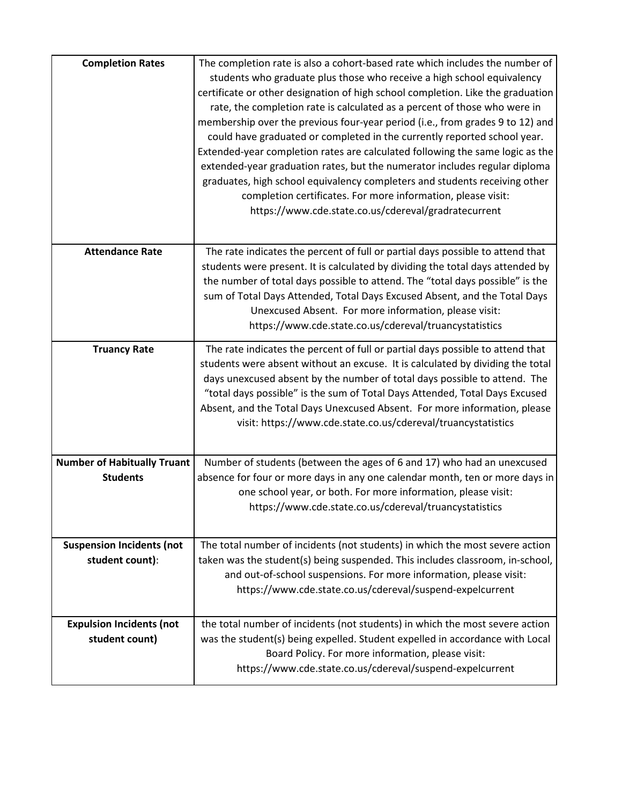| <b>Completion Rates</b>                               | The completion rate is also a cohort-based rate which includes the number of<br>students who graduate plus those who receive a high school equivalency<br>certificate or other designation of high school completion. Like the graduation<br>rate, the completion rate is calculated as a percent of those who were in<br>membership over the previous four-year period (i.e., from grades 9 to 12) and<br>could have graduated or completed in the currently reported school year.<br>Extended-year completion rates are calculated following the same logic as the<br>extended-year graduation rates, but the numerator includes regular diploma<br>graduates, high school equivalency completers and students receiving other<br>completion certificates. For more information, please visit:<br>https://www.cde.state.co.us/cdereval/gradratecurrent |
|-------------------------------------------------------|----------------------------------------------------------------------------------------------------------------------------------------------------------------------------------------------------------------------------------------------------------------------------------------------------------------------------------------------------------------------------------------------------------------------------------------------------------------------------------------------------------------------------------------------------------------------------------------------------------------------------------------------------------------------------------------------------------------------------------------------------------------------------------------------------------------------------------------------------------|
| <b>Attendance Rate</b>                                | The rate indicates the percent of full or partial days possible to attend that<br>students were present. It is calculated by dividing the total days attended by<br>the number of total days possible to attend. The "total days possible" is the<br>sum of Total Days Attended, Total Days Excused Absent, and the Total Days<br>Unexcused Absent. For more information, please visit:<br>https://www.cde.state.co.us/cdereval/truancystatistics                                                                                                                                                                                                                                                                                                                                                                                                        |
| <b>Truancy Rate</b>                                   | The rate indicates the percent of full or partial days possible to attend that<br>students were absent without an excuse. It is calculated by dividing the total<br>days unexcused absent by the number of total days possible to attend. The<br>"total days possible" is the sum of Total Days Attended, Total Days Excused<br>Absent, and the Total Days Unexcused Absent. For more information, please<br>visit: https://www.cde.state.co.us/cdereval/truancystatistics                                                                                                                                                                                                                                                                                                                                                                               |
| <b>Number of Habitually Truant</b><br><b>Students</b> | Number of students (between the ages of 6 and 17) who had an unexcused<br>absence for four or more days in any one calendar month, ten or more days in<br>one school year, or both. For more information, please visit:<br>https://www.cde.state.co.us/cdereval/truancystatistics                                                                                                                                                                                                                                                                                                                                                                                                                                                                                                                                                                        |
| <b>Suspension Incidents (not</b><br>student count):   | The total number of incidents (not students) in which the most severe action<br>taken was the student(s) being suspended. This includes classroom, in-school,<br>and out-of-school suspensions. For more information, please visit:<br>https://www.cde.state.co.us/cdereval/suspend-expelcurrent                                                                                                                                                                                                                                                                                                                                                                                                                                                                                                                                                         |
| <b>Expulsion Incidents (not</b><br>student count)     | the total number of incidents (not students) in which the most severe action<br>was the student(s) being expelled. Student expelled in accordance with Local<br>Board Policy. For more information, please visit:<br>https://www.cde.state.co.us/cdereval/suspend-expelcurrent                                                                                                                                                                                                                                                                                                                                                                                                                                                                                                                                                                           |